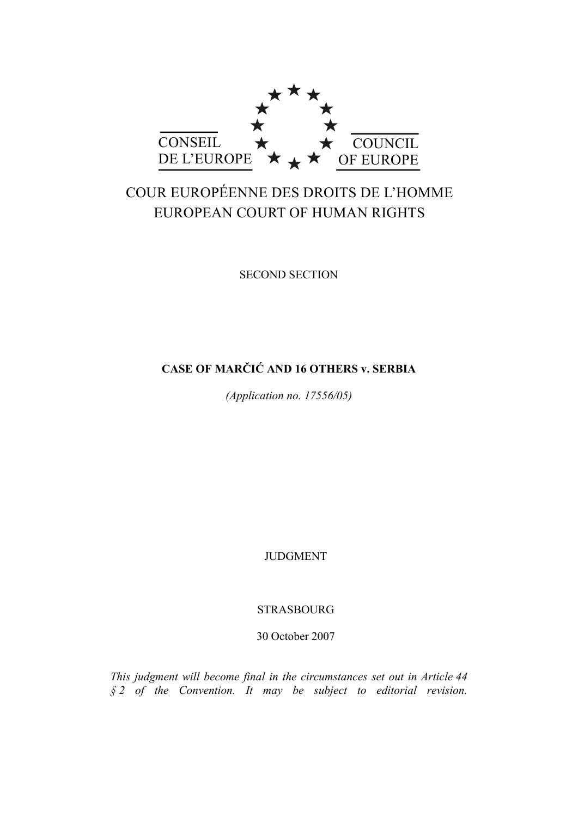

# COUR EUROPÉENNE DES DROITS DE L'HOMME EUROPEAN COURT OF HUMAN RIGHTS

SECOND SECTION

## **CASE OF MARČIĆ AND 16 OTHERS v. SERBIA**

*(Application no. 17556/05)* 

JUDGMENT

STRASBOURG

30 October 2007

*This judgment will become final in the circumstances set out in Article 44 § 2 of the Convention. It may be subject to editorial revision.*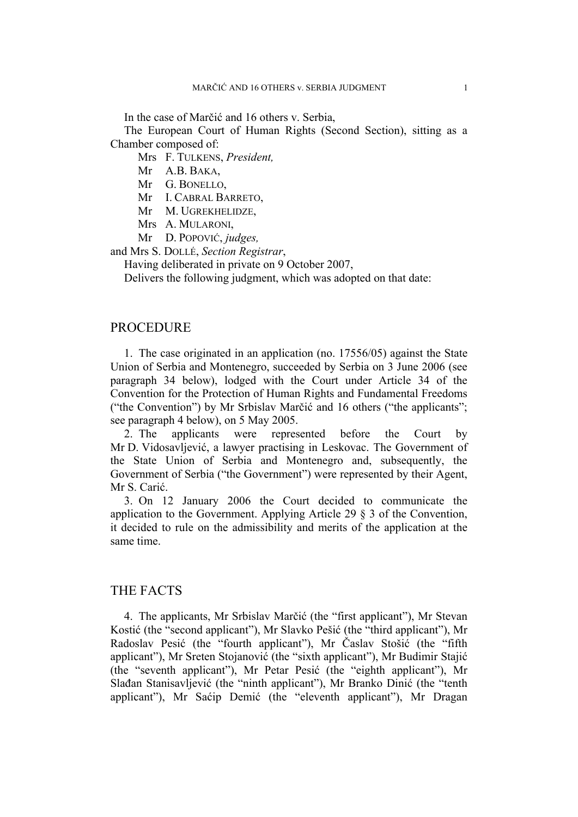In the case of Marčić and 16 others v. Serbia,

The European Court of Human Rights (Second Section), sitting as a Chamber composed of:

Mrs F. TULKENS, *President,* 

- Mr A.B. BAKA,
- Mr G. BONELLO,
- Mr I. CABRAL BARRETO,
- Mr M. UGREKHELIDZE,
- Mrs A. MULARONI,
- Mr D. POPOVIĆ, *judges,*

and Mrs S. DOLLÉ, *Section Registrar*,

Having deliberated in private on 9 October 2007,

Delivers the following judgment, which was adopted on that date:

### PROCEDURE

1. The case originated in an application (no. 17556/05) against the State Union of Serbia and Montenegro, succeeded by Serbia on 3 June 2006 (see paragraph 34 below), lodged with the Court under Article 34 of the Convention for the Protection of Human Rights and Fundamental Freedoms ("the Convention") by Mr Srbislav Marčić and 16 others ("the applicants"; see paragraph 4 below), on 5 May 2005.

2. The applicants were represented before the Court by Mr D. Vidosavljević, a lawyer practising in Leskovac. The Government of the State Union of Serbia and Montenegro and, subsequently, the Government of Serbia ("the Government") were represented by their Agent, Mr S. Carić.

3. On 12 January 2006 the Court decided to communicate the application to the Government. Applying Article 29 § 3 of the Convention, it decided to rule on the admissibility and merits of the application at the same time.

### THE FACTS

4. The applicants, Mr Srbislav Marčić (the "first applicant"), Mr Stevan Kostić (the "second applicant"), Mr Slavko Pešić (the "third applicant"), Mr Radoslav Pesić (the "fourth applicant"), Mr Časlav Stošić (the "fifth applicant"), Mr Sreten Stojanović (the "sixth applicant"), Mr Budimir Stajić (the "seventh applicant"), Mr Petar Pesić (the "eighth applicant"), Mr Slađan Stanisavljević (the "ninth applicant"), Mr Branko Dinić (the "tenth applicant"), Mr Saćip Demić (the "eleventh applicant"), Mr Dragan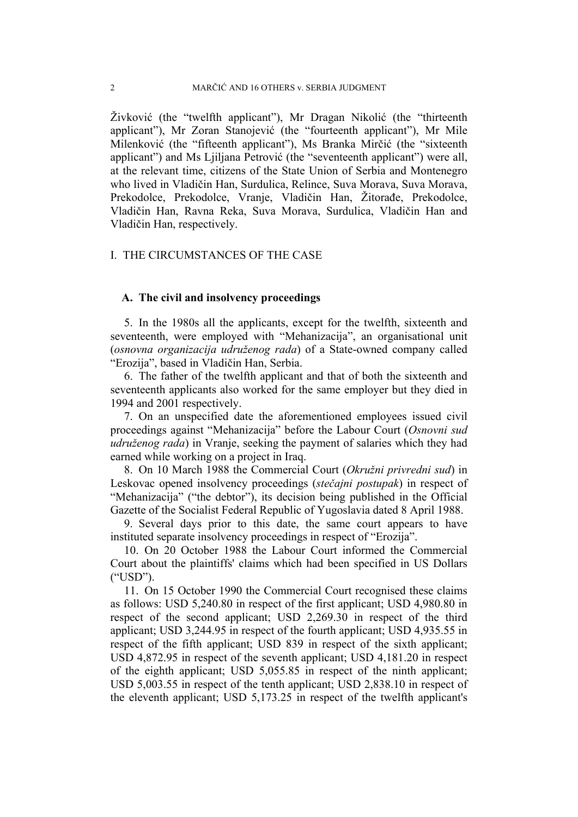Živković (the "twelfth applicant"), Mr Dragan Nikolić (the "thirteenth applicant"), Mr Zoran Stanojević (the "fourteenth applicant"), Mr Mile Milenković (the "fifteenth applicant"), Ms Branka Mirčić (the "sixteenth applicant") and Ms Ljiljana Petrović (the "seventeenth applicant") were all, at the relevant time, citizens of the State Union of Serbia and Montenegro who lived in Vladičin Han, Surdulica, Relince, Suva Morava, Suva Morava, Prekodolce, Prekodolce, Vranje, Vladičin Han, Žitorađe, Prekodolce, Vladičin Han, Ravna Reka, Suva Morava, Surdulica, Vladičin Han and Vladičin Han, respectively.

### I. THE CIRCUMSTANCES OF THE CASE

### **A. The civil and insolvency proceedings**

5. In the 1980s all the applicants, except for the twelfth, sixteenth and seventeenth, were employed with "Mehanizacija", an organisational unit (*osnovna organizacija udruženog rada*) of a State-owned company called "Erozija", based in Vladičin Han, Serbia.

6. The father of the twelfth applicant and that of both the sixteenth and seventeenth applicants also worked for the same employer but they died in 1994 and 2001 respectively.

7. On an unspecified date the aforementioned employees issued civil proceedings against "Mehanizacija" before the Labour Court (*Osnovni sud udruženog rada*) in Vranje, seeking the payment of salaries which they had earned while working on a project in Iraq.

8. On 10 March 1988 the Commercial Court (*Okružni privredni sud*) in Leskovac opened insolvency proceedings (*stečajni postupak*) in respect of "Mehanizacija" ("the debtor"), its decision being published in the Official Gazette of the Socialist Federal Republic of Yugoslavia dated 8 April 1988.

9. Several days prior to this date, the same court appears to have instituted separate insolvency proceedings in respect of "Erozija".

10. On 20 October 1988 the Labour Court informed the Commercial Court about the plaintiffs' claims which had been specified in US Dollars ("USD").

11. On 15 October 1990 the Commercial Court recognised these claims as follows: USD 5,240.80 in respect of the first applicant; USD 4,980.80 in respect of the second applicant; USD 2,269.30 in respect of the third applicant; USD 3,244.95 in respect of the fourth applicant; USD 4,935.55 in respect of the fifth applicant; USD 839 in respect of the sixth applicant; USD 4,872.95 in respect of the seventh applicant; USD 4,181.20 in respect of the eighth applicant; USD 5,055.85 in respect of the ninth applicant; USD 5,003.55 in respect of the tenth applicant; USD 2,838.10 in respect of the eleventh applicant; USD 5,173.25 in respect of the twelfth applicant's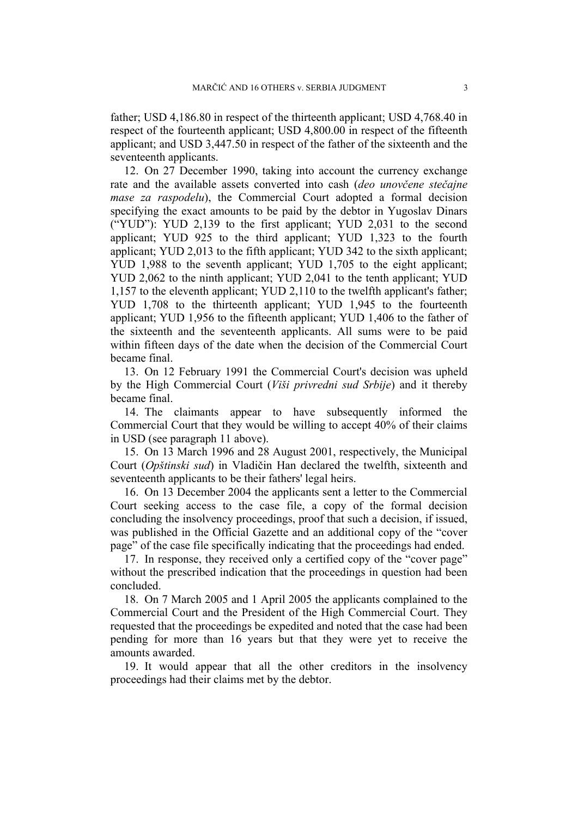father; USD 4,186.80 in respect of the thirteenth applicant; USD 4,768.40 in respect of the fourteenth applicant; USD 4,800.00 in respect of the fifteenth applicant; and USD 3,447.50 in respect of the father of the sixteenth and the seventeenth applicants.

12. On 27 December 1990, taking into account the currency exchange rate and the available assets converted into cash (*deo unovčene stečajne mase za raspodelu*), the Commercial Court adopted a formal decision specifying the exact amounts to be paid by the debtor in Yugoslav Dinars ("YUD"): YUD 2,139 to the first applicant; YUD 2,031 to the second applicant; YUD 925 to the third applicant; YUD 1,323 to the fourth applicant; YUD 2,013 to the fifth applicant; YUD 342 to the sixth applicant; YUD 1,988 to the seventh applicant; YUD 1,705 to the eight applicant; YUD 2,062 to the ninth applicant; YUD 2,041 to the tenth applicant; YUD 1,157 to the eleventh applicant; YUD 2,110 to the twelfth applicant's father; YUD 1,708 to the thirteenth applicant; YUD 1,945 to the fourteenth applicant; YUD 1,956 to the fifteenth applicant; YUD 1,406 to the father of the sixteenth and the seventeenth applicants. All sums were to be paid within fifteen days of the date when the decision of the Commercial Court became final.

13. On 12 February 1991 the Commercial Court's decision was upheld by the High Commercial Court (*Viši privredni sud Srbije*) and it thereby became final.

14. The claimants appear to have subsequently informed the Commercial Court that they would be willing to accept 40% of their claims in USD (see paragraph 11 above).

15. On 13 March 1996 and 28 August 2001, respectively, the Municipal Court (*Opštinski sud*) in Vladičin Han declared the twelfth, sixteenth and seventeenth applicants to be their fathers' legal heirs.

16. On 13 December 2004 the applicants sent a letter to the Commercial Court seeking access to the case file, a copy of the formal decision concluding the insolvency proceedings, proof that such a decision, if issued, was published in the Official Gazette and an additional copy of the "cover page" of the case file specifically indicating that the proceedings had ended.

17. In response, they received only a certified copy of the "cover page" without the prescribed indication that the proceedings in question had been concluded.

18. On 7 March 2005 and 1 April 2005 the applicants complained to the Commercial Court and the President of the High Commercial Court. They requested that the proceedings be expedited and noted that the case had been pending for more than 16 years but that they were yet to receive the amounts awarded.

19. It would appear that all the other creditors in the insolvency proceedings had their claims met by the debtor.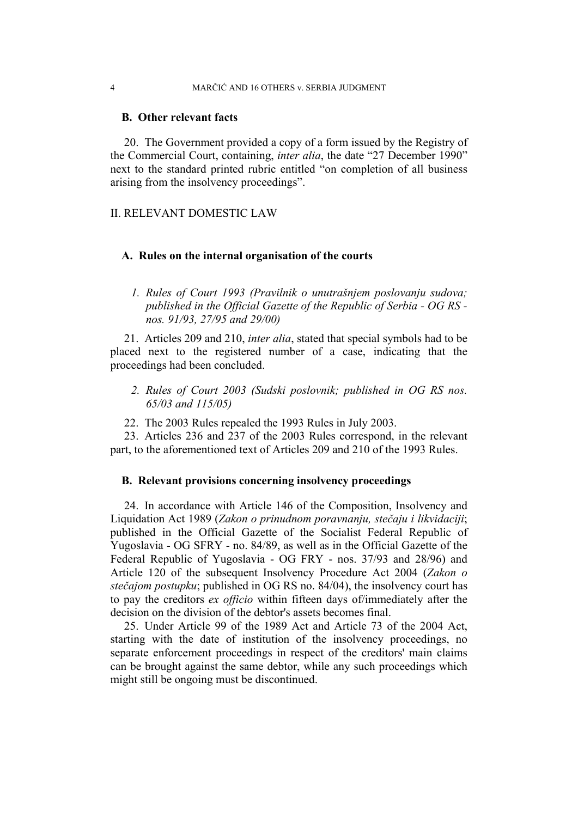#### 4 MARČIĆ AND 16 OTHERS v. SERBIA JUDGMENT

### **B. Other relevant facts**

20. The Government provided a copy of a form issued by the Registry of the Commercial Court, containing, *inter alia*, the date "27 December 1990" next to the standard printed rubric entitled "on completion of all business arising from the insolvency proceedings".

### II. RELEVANT DOMESTIC LAW

#### **A. Rules on the internal organisation of the courts**

*1. Rules of Court 1993 (Pravilnik o unutrašnjem poslovanju sudova; published in the Official Gazette of the Republic of Serbia - OG RS nos. 91/93, 27/95 and 29/00)* 

21. Articles 209 and 210, *inter alia*, stated that special symbols had to be placed next to the registered number of a case, indicating that the proceedings had been concluded.

- *2. Rules of Court 2003 (Sudski poslovnik; published in OG RS nos. 65/03 and 115/05)*
- 22. The 2003 Rules repealed the 1993 Rules in July 2003.

23. Articles 236 and 237 of the 2003 Rules correspond, in the relevant part, to the aforementioned text of Articles 209 and 210 of the 1993 Rules.

### **B. Relevant provisions concerning insolvency proceedings**

24. In accordance with Article 146 of the Composition, Insolvency and Liquidation Act 1989 (*Zakon o prinudnom poravnanju, stečaju i likvidaciji*; published in the Official Gazette of the Socialist Federal Republic of Yugoslavia - OG SFRY - no. 84/89, as well as in the Official Gazette of the Federal Republic of Yugoslavia - OG FRY - nos. 37/93 and 28/96) and Article 120 of the subsequent Insolvency Procedure Act 2004 (*Zakon o stečajom postupku*; published in OG RS no. 84/04), the insolvency court has to pay the creditors *ex officio* within fifteen days of/immediately after the decision on the division of the debtor's assets becomes final.

25. Under Article 99 of the 1989 Act and Article 73 of the 2004 Act, starting with the date of institution of the insolvency proceedings, no separate enforcement proceedings in respect of the creditors' main claims can be brought against the same debtor, while any such proceedings which might still be ongoing must be discontinued.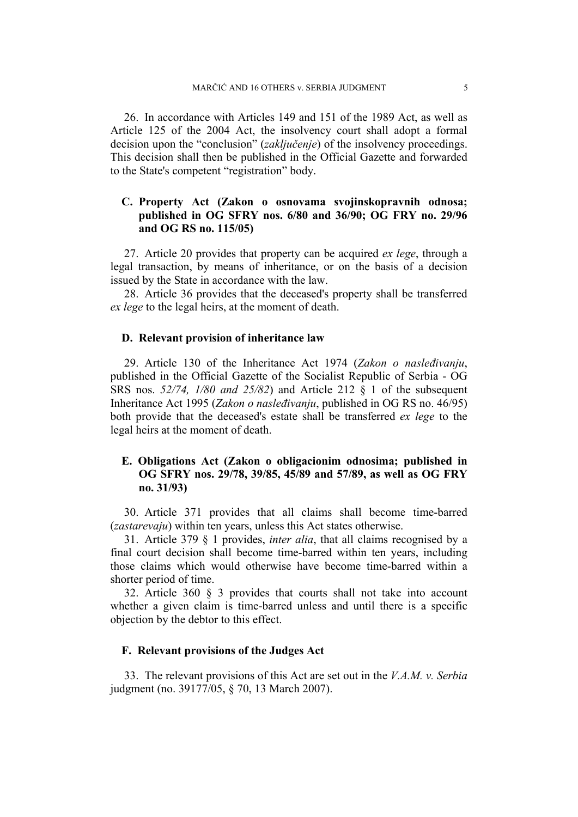26. In accordance with Articles 149 and 151 of the 1989 Act, as well as Article 125 of the 2004 Act, the insolvency court shall adopt a formal decision upon the "conclusion" (*zaključenje*) of the insolvency proceedings. This decision shall then be published in the Official Gazette and forwarded to the State's competent "registration" body.

### **C. Property Act (Zakon o osnovama svojinskopravnih odnosa; published in OG SFRY nos. 6/80 and 36/90; OG FRY no. 29/96 and OG RS no. 115/05)**

27. Article 20 provides that property can be acquired *ex lege*, through a legal transaction, by means of inheritance, or on the basis of a decision issued by the State in accordance with the law.

28. Article 36 provides that the deceased's property shall be transferred *ex lege* to the legal heirs, at the moment of death.

### **D. Relevant provision of inheritance law**

29. Article 130 of the Inheritance Act 1974 (*Zakon o nasleđivanju*, published in the Official Gazette of the Socialist Republic of Serbia - OG SRS nos. *52/74, 1/80 and 25/82*) and Article 212 § 1 of the subsequent Inheritance Act 1995 (*Zakon o nasleđivanju*, published in OG RS no. 46/95) both provide that the deceased's estate shall be transferred *ex lege* to the legal heirs at the moment of death.

### **E. Obligations Act (Zakon o obligacionim odnosima; published in OG SFRY nos. 29/78, 39/85, 45/89 and 57/89, as well as OG FRY no. 31/93)**

30. Article 371 provides that all claims shall become time-barred (*zastarevaju*) within ten years, unless this Act states otherwise.

31. Article 379 § 1 provides, *inter alia*, that all claims recognised by a final court decision shall become time-barred within ten years, including those claims which would otherwise have become time-barred within a shorter period of time.

32. Article 360 § 3 provides that courts shall not take into account whether a given claim is time-barred unless and until there is a specific objection by the debtor to this effect.

#### **F. Relevant provisions of the Judges Act**

33. The relevant provisions of this Act are set out in the *V.A.M. v. Serbia*  judgment (no. 39177/05, § 70, 13 March 2007).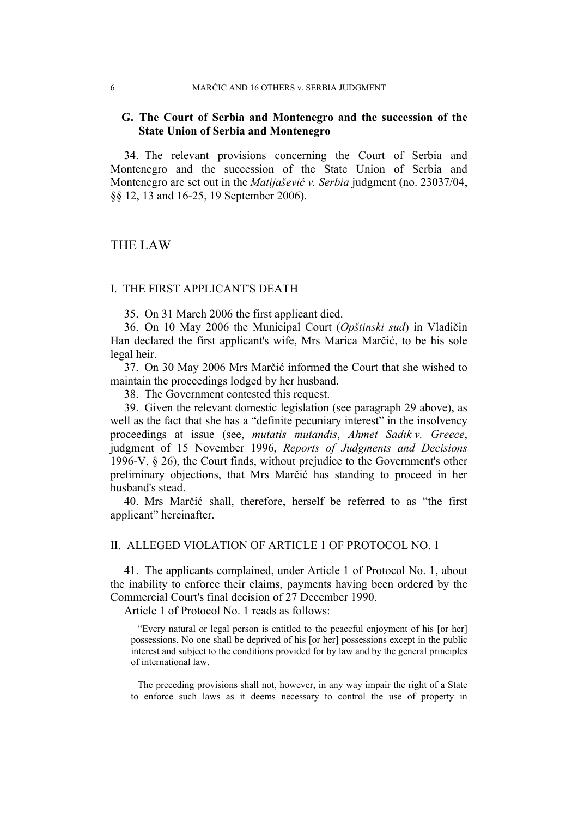#### 6 MARČIĆ AND 16 OTHERS v. SERBIA JUDGMENT

### **G. The Court of Serbia and Montenegro and the succession of the State Union of Serbia and Montenegro**

34. The relevant provisions concerning the Court of Serbia and Montenegro and the succession of the State Union of Serbia and Montenegro are set out in the *Matijašević v. Serbia* judgment (no. 23037/04, §§ 12, 13 and 16-25, 19 September 2006).

### THE LAW

### I. THE FIRST APPLICANT'S DEATH

35. On 31 March 2006 the first applicant died.

36. On 10 May 2006 the Municipal Court (*Opštinski sud*) in Vladičin Han declared the first applicant's wife, Mrs Marica Marčić, to be his sole legal heir.

37. On 30 May 2006 Mrs Marčić informed the Court that she wished to maintain the proceedings lodged by her husband.

38. The Government contested this request.

39. Given the relevant domestic legislation (see paragraph 29 above), as well as the fact that she has a "definite pecuniary interest" in the insolvency proceedings at issue (see, *mutatis mutandis*, *Ahmet Sadık v. Greece*, judgment of 15 November 1996, *Reports of Judgments and Decisions* 1996-V, § 26), the Court finds, without prejudice to the Government's other preliminary objections, that Mrs Marčić has standing to proceed in her husband's stead.

40. Mrs Marčić shall, therefore, herself be referred to as "the first applicant" hereinafter.

II. ALLEGED VIOLATION OF ARTICLE 1 OF PROTOCOL NO. 1

41. The applicants complained, under Article 1 of Protocol No. 1, about the inability to enforce their claims, payments having been ordered by the Commercial Court's final decision of 27 December 1990.

Article 1 of Protocol No. 1 reads as follows:

"Every natural or legal person is entitled to the peaceful enjoyment of his [or her] possessions. No one shall be deprived of his [or her] possessions except in the public interest and subject to the conditions provided for by law and by the general principles of international law.

The preceding provisions shall not, however, in any way impair the right of a State to enforce such laws as it deems necessary to control the use of property in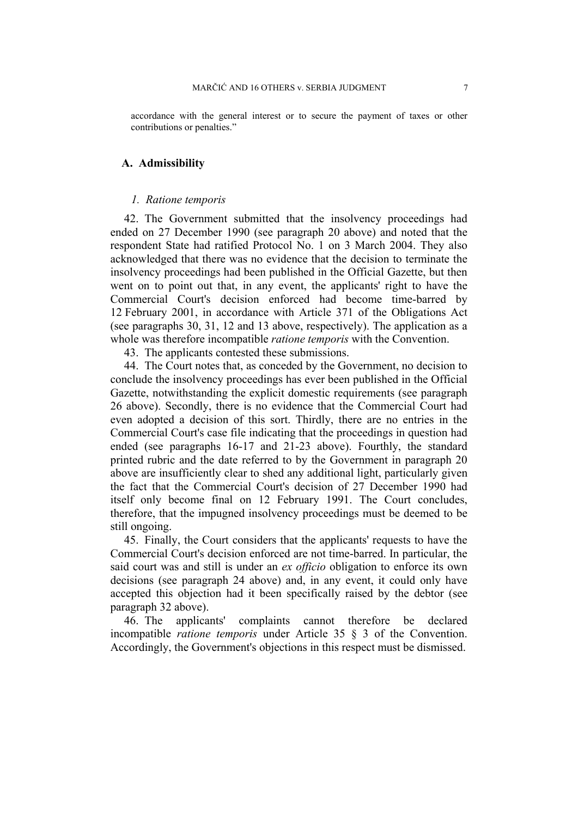accordance with the general interest or to secure the payment of taxes or other contributions or penalties."

#### **A. Admissibility**

### *1. Ratione temporis*

42. The Government submitted that the insolvency proceedings had ended on 27 December 1990 (see paragraph 20 above) and noted that the respondent State had ratified Protocol No. 1 on 3 March 2004. They also acknowledged that there was no evidence that the decision to terminate the insolvency proceedings had been published in the Official Gazette, but then went on to point out that, in any event, the applicants' right to have the Commercial Court's decision enforced had become time-barred by 12 February 2001, in accordance with Article 371 of the Obligations Act (see paragraphs 30, 31, 12 and 13 above, respectively). The application as a whole was therefore incompatible *ratione temporis* with the Convention.

43. The applicants contested these submissions.

44. The Court notes that, as conceded by the Government, no decision to conclude the insolvency proceedings has ever been published in the Official Gazette, notwithstanding the explicit domestic requirements (see paragraph 26 above). Secondly, there is no evidence that the Commercial Court had even adopted a decision of this sort. Thirdly, there are no entries in the Commercial Court's case file indicating that the proceedings in question had ended (see paragraphs 16-17 and 21-23 above). Fourthly, the standard printed rubric and the date referred to by the Government in paragraph 20 above are insufficiently clear to shed any additional light, particularly given the fact that the Commercial Court's decision of 27 December 1990 had itself only become final on 12 February 1991. The Court concludes, therefore, that the impugned insolvency proceedings must be deemed to be still ongoing.

45. Finally, the Court considers that the applicants' requests to have the Commercial Court's decision enforced are not time-barred. In particular, the said court was and still is under an *ex officio* obligation to enforce its own decisions (see paragraph 24 above) and, in any event, it could only have accepted this objection had it been specifically raised by the debtor (see paragraph 32 above).

46. The applicants' complaints cannot therefore be declared incompatible *ratione temporis* under Article 35 § 3 of the Convention. Accordingly, the Government's objections in this respect must be dismissed.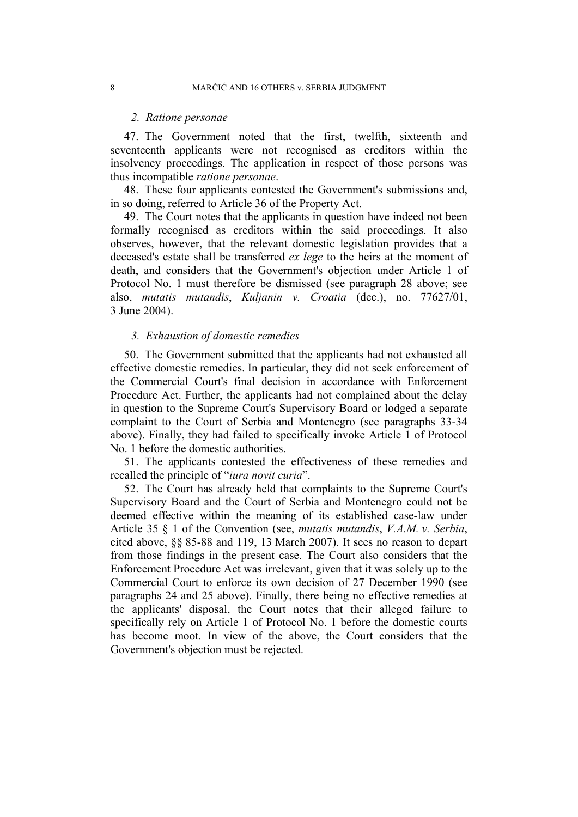#### *2. Ratione personae*

47. The Government noted that the first, twelfth, sixteenth and seventeenth applicants were not recognised as creditors within the insolvency proceedings. The application in respect of those persons was thus incompatible *ratione personae*.

48. These four applicants contested the Government's submissions and, in so doing, referred to Article 36 of the Property Act.

49. The Court notes that the applicants in question have indeed not been formally recognised as creditors within the said proceedings. It also observes, however, that the relevant domestic legislation provides that a deceased's estate shall be transferred *ex lege* to the heirs at the moment of death, and considers that the Government's objection under Article 1 of Protocol No. 1 must therefore be dismissed (see paragraph 28 above; see also, *mutatis mutandis*, *Kuljanin v. Croatia* (dec.), no. 77627/01, 3 June 2004).

### *3. Exhaustion of domestic remedies*

50. The Government submitted that the applicants had not exhausted all effective domestic remedies. In particular, they did not seek enforcement of the Commercial Court's final decision in accordance with Enforcement Procedure Act. Further, the applicants had not complained about the delay in question to the Supreme Court's Supervisory Board or lodged a separate complaint to the Court of Serbia and Montenegro (see paragraphs 33-34 above). Finally, they had failed to specifically invoke Article 1 of Protocol No. 1 before the domestic authorities.

51. The applicants contested the effectiveness of these remedies and recalled the principle of "*iura novit curia*".

52. The Court has already held that complaints to the Supreme Court's Supervisory Board and the Court of Serbia and Montenegro could not be deemed effective within the meaning of its established case-law under Article 35 § 1 of the Convention (see, *mutatis mutandis*, *V.A.M. v. Serbia*, cited above, §§ 85-88 and 119, 13 March 2007). It sees no reason to depart from those findings in the present case. The Court also considers that the Enforcement Procedure Act was irrelevant, given that it was solely up to the Commercial Court to enforce its own decision of 27 December 1990 (see paragraphs 24 and 25 above). Finally, there being no effective remedies at the applicants' disposal, the Court notes that their alleged failure to specifically rely on Article 1 of Protocol No. 1 before the domestic courts has become moot. In view of the above, the Court considers that the Government's objection must be rejected.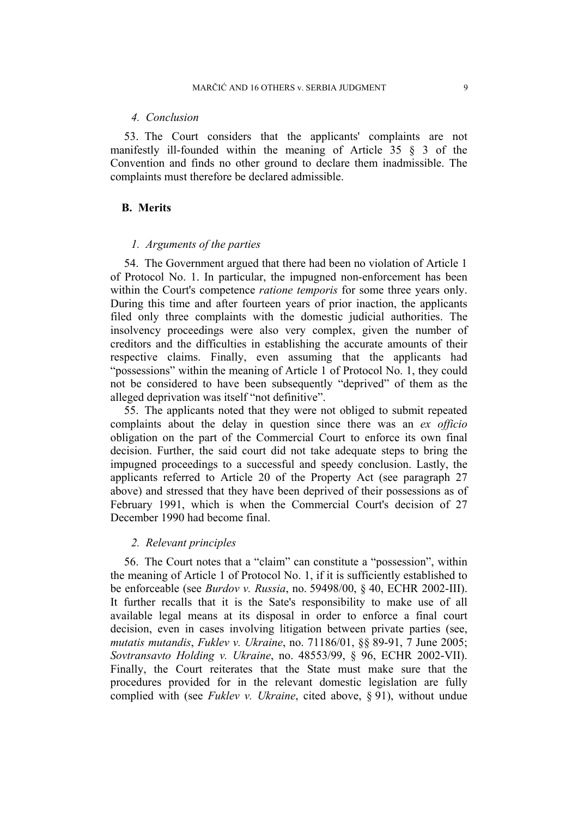### *4. Conclusion*

53. The Court considers that the applicants' complaints are not manifestly ill-founded within the meaning of Article 35 § 3 of the Convention and finds no other ground to declare them inadmissible. The complaints must therefore be declared admissible.

### **B. Merits**

### *1. Arguments of the parties*

54. The Government argued that there had been no violation of Article 1 of Protocol No. 1. In particular, the impugned non-enforcement has been within the Court's competence *ratione temporis* for some three years only. During this time and after fourteen years of prior inaction, the applicants filed only three complaints with the domestic judicial authorities. The insolvency proceedings were also very complex, given the number of creditors and the difficulties in establishing the accurate amounts of their respective claims. Finally, even assuming that the applicants had "possessions" within the meaning of Article 1 of Protocol No. 1, they could not be considered to have been subsequently "deprived" of them as the alleged deprivation was itself "not definitive".

55. The applicants noted that they were not obliged to submit repeated complaints about the delay in question since there was an *ex officio* obligation on the part of the Commercial Court to enforce its own final decision. Further, the said court did not take adequate steps to bring the impugned proceedings to a successful and speedy conclusion. Lastly, the applicants referred to Article 20 of the Property Act (see paragraph 27 above) and stressed that they have been deprived of their possessions as of February 1991, which is when the Commercial Court's decision of 27 December 1990 had become final.

### *2. Relevant principles*

56. The Court notes that a "claim" can constitute a "possession", within the meaning of Article 1 of Protocol No. 1, if it is sufficiently established to be enforceable (see *Burdov v. Russia*, no. 59498/00, § 40, ECHR 2002-III). It further recalls that it is the Sate's responsibility to make use of all available legal means at its disposal in order to enforce a final court decision, even in cases involving litigation between private parties (see, *mutatis mutandis*, *Fuklev v. Ukraine*, no. 71186/01, §§ 89-91, 7 June 2005; *Sovtransavto Holding v. Ukraine*, no. 48553/99, § 96, ECHR 2002-VII). Finally, the Court reiterates that the State must make sure that the procedures provided for in the relevant domestic legislation are fully complied with (see *Fuklev v. Ukraine*, cited above, § 91), without undue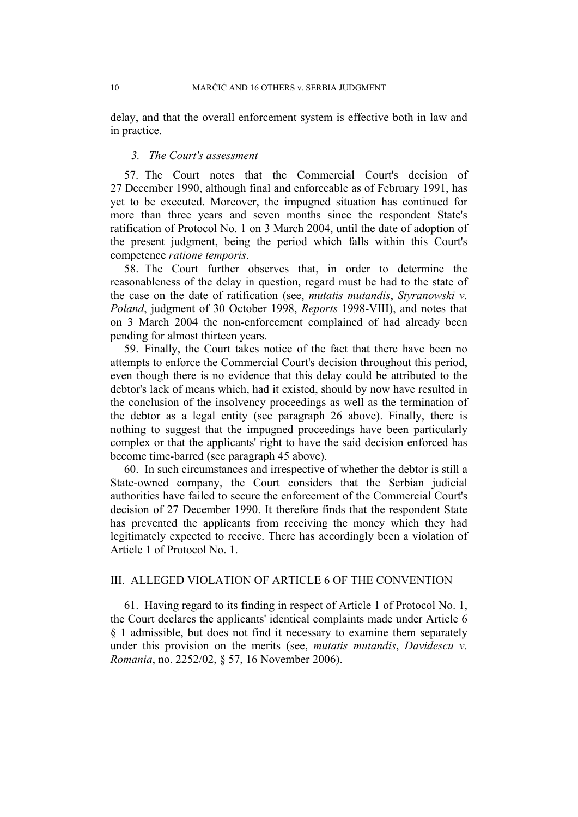delay, and that the overall enforcement system is effective both in law and in practice.

### *3. The Court's assessment*

57. The Court notes that the Commercial Court's decision of 27 December 1990, although final and enforceable as of February 1991, has yet to be executed. Moreover, the impugned situation has continued for more than three years and seven months since the respondent State's ratification of Protocol No. 1 on 3 March 2004, until the date of adoption of the present judgment, being the period which falls within this Court's competence *ratione temporis*.

58. The Court further observes that, in order to determine the reasonableness of the delay in question, regard must be had to the state of the case on the date of ratification (see, *mutatis mutandis*, *Styranowski v. Poland*, judgment of 30 October 1998, *Reports* 1998-VIII), and notes that on 3 March 2004 the non-enforcement complained of had already been pending for almost thirteen years.

59. Finally, the Court takes notice of the fact that there have been no attempts to enforce the Commercial Court's decision throughout this period, even though there is no evidence that this delay could be attributed to the debtor's lack of means which, had it existed, should by now have resulted in the conclusion of the insolvency proceedings as well as the termination of the debtor as a legal entity (see paragraph 26 above). Finally, there is nothing to suggest that the impugned proceedings have been particularly complex or that the applicants' right to have the said decision enforced has become time-barred (see paragraph 45 above).

60. In such circumstances and irrespective of whether the debtor is still a State-owned company, the Court considers that the Serbian judicial authorities have failed to secure the enforcement of the Commercial Court's decision of 27 December 1990. It therefore finds that the respondent State has prevented the applicants from receiving the money which they had legitimately expected to receive. There has accordingly been a violation of Article 1 of Protocol No. 1.

### III. ALLEGED VIOLATION OF ARTICLE 6 OF THE CONVENTION

61. Having regard to its finding in respect of Article 1 of Protocol No. 1, the Court declares the applicants' identical complaints made under Article 6 § 1 admissible, but does not find it necessary to examine them separately under this provision on the merits (see, *mutatis mutandis*, *Davidescu v. Romania*, no. 2252/02, § 57, 16 November 2006).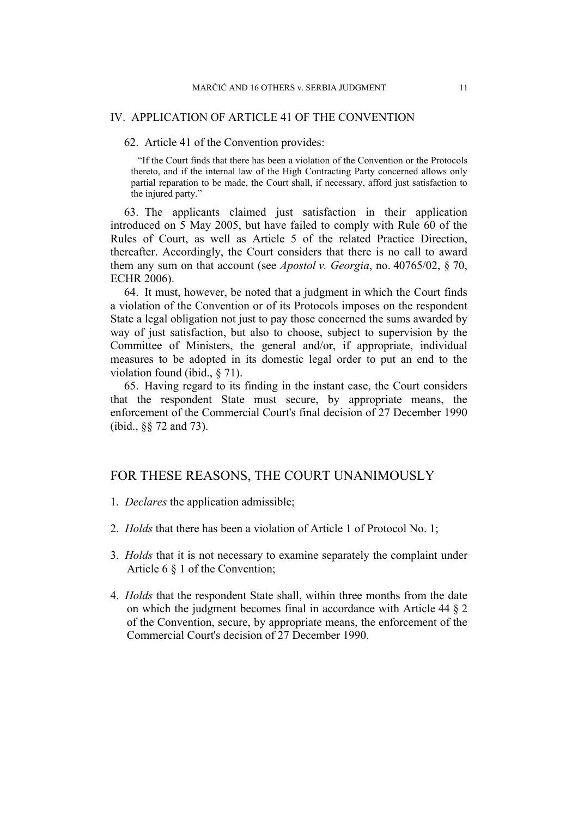### IV. APPLICATION OF ARTICLE 41 OF THE CONVENTION

62. Article 41 of the Convention provides:

"If the Court finds that there has been a violation of the Convention or the Protocols thereto, and if the internal law of the High Contracting Party concerned allows only partial reparation to be made, the Court shall, if necessary, afford just satisfaction to the injured party."

63. The applicants claimed just satisfaction in their application introduced on 5 May 2005, but have failed to comply with Rule 60 of the Rules of Court, as well as Article 5 of the related Practice Direction, thereafter. Accordingly, the Court considers that there is no call to award them any sum on that account (see *Apostol v. Georgia*, no. 40765/02, § 70, ECHR 2006).

64. It must, however, be noted that a judgment in which the Court finds a violation of the Convention or of its Protocols imposes on the respondent State a legal obligation not just to pay those concerned the sums awarded by way of just satisfaction, but also to choose, subject to supervision by the Committee of Ministers, the general and/or, if appropriate, individual measures to be adopted in its domestic legal order to put an end to the violation found (ibid., § 71).

65. Having regard to its finding in the instant case, the Court considers that the respondent State must secure, by appropriate means, the enforcement of the Commercial Court's final decision of 27 December 1990 (ibid., §§ 72 and 73).

### FOR THESE REASONS, THE COURT UNANIMOUSLY

- 1. *Declares* the application admissible;
- 2. *Holds* that there has been a violation of Article 1 of Protocol No. 1;
- 3. *Holds* that it is not necessary to examine separately the complaint under Article 6 § 1 of the Convention;
- 4. *Holds* that the respondent State shall, within three months from the date on which the judgment becomes final in accordance with Article 44 § 2 of the Convention, secure, by appropriate means, the enforcement of the Commercial Court's decision of 27 December 1990.